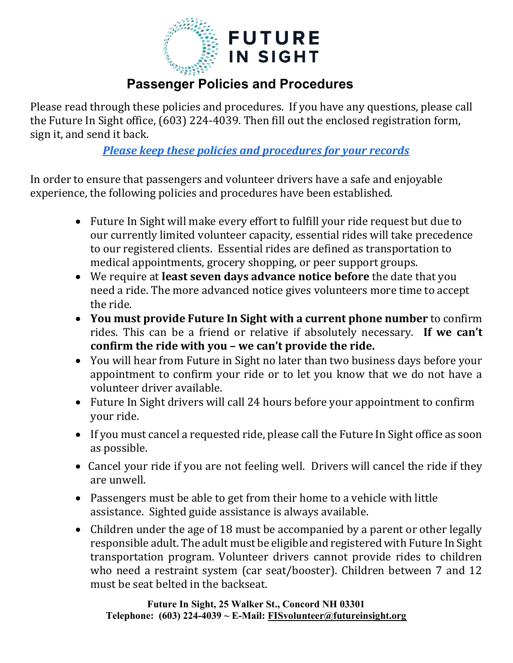

## Passenger Policies and Procedures

Please read through these policies and procedures. If you have any questions, please call the Future In Sight office, (603) 224-4039. Then fill out the enclosed registration form, sign it, and send it back.

Please keep these policies and procedures for your records

In order to ensure that passengers and volunteer drivers have a safe and enjoyable experience, the following policies and procedures have been established.

- Future In Sight will make every effort to fulfill your ride request but due to our currently limited volunteer capacity, essential rides will take precedence to our registered clients. Essential rides are defined as transportation to medical appointments, grocery shopping, or peer support groups.
- We require at least seven days advance notice before the date that you need a ride. The more advanced notice gives volunteers more time to accept the ride.
- You must provide Future In Sight with a current phone number to confirm rides. This can be a friend or relative if absolutely necessary. If we can't confirm the ride with you – we can't provide the ride.
- You will hear from Future in Sight no later than two business days before your appointment to confirm your ride or to let you know that we do not have a volunteer driver available.
- Future In Sight drivers will call 24 hours before your appointment to confirm your ride.
- If you must cancel a requested ride, please call the Future In Sight office as soon as possible.
- Cancel your ride if you are not feeling well. Drivers will cancel the ride if they are unwell.
- Passengers must be able to get from their home to a vehicle with little assistance. Sighted guide assistance is always available.
- Children under the age of 18 must be accompanied by a parent or other legally responsible adult. The adult must be eligible and registered with Future In Sight transportation program. Volunteer drivers cannot provide rides to children who need a restraint system (car seat/booster). Children between 7 and 12 must be seat belted in the backseat.

Future In Sight, 25 Walker St., Concord NH 03301 Telephone: (603) 224-4039 ~ E-Mail: FISvolunteer@futureinsight.org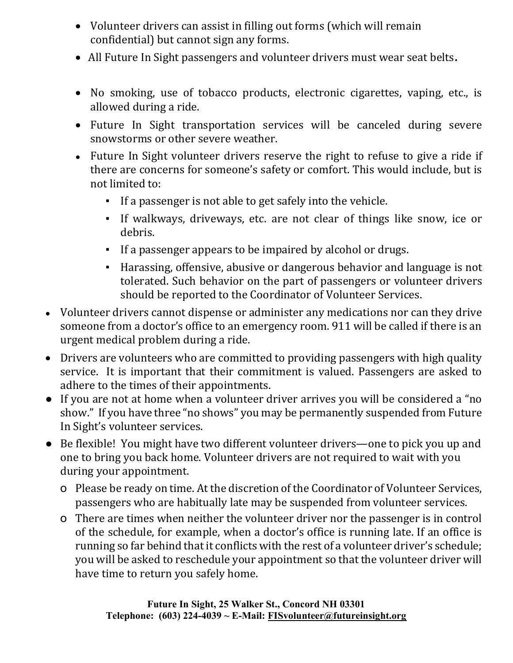- Volunteer drivers can assist in filling out forms (which will remain confidential) but cannot sign any forms.
- All Future In Sight passengers and volunteer drivers must wear seat belts.
- No smoking, use of tobacco products, electronic cigarettes, vaping, etc., is allowed during a ride.
- Future In Sight transportation services will be canceled during severe snowstorms or other severe weather.
- Future In Sight volunteer drivers reserve the right to refuse to give a ride if there are concerns for someone's safety or comfort. This would include, but is not limited to:
	- If a passenger is not able to get safely into the vehicle.
	- If walkways, driveways, etc. are not clear of things like snow, ice or debris.
	- If a passenger appears to be impaired by alcohol or drugs.
	- Harassing, offensive, abusive or dangerous behavior and language is not tolerated. Such behavior on the part of passengers or volunteer drivers should be reported to the Coordinator of Volunteer Services.
- Volunteer drivers cannot dispense or administer any medications nor can they drive someone from a doctor's office to an emergency room. 911 will be called if there is an urgent medical problem during a ride.
- Drivers are volunteers who are committed to providing passengers with high quality service. It is important that their commitment is valued. Passengers are asked to adhere to the times of their appointments.
- If you are not at home when a volunteer driver arrives you will be considered a "no show." If you have three "no shows" you may be permanently suspended from Future In Sight's volunteer services.
- Be flexible! You might have two different volunteer drivers—one to pick you up and one to bring you back home. Volunteer drivers are not required to wait with you during your appointment.
	- o Please be ready on time. At the discretion of the Coordinator of Volunteer Services, passengers who are habitually late may be suspended from volunteer services.
	- o There are times when neither the volunteer driver nor the passenger is in control of the schedule, for example, when a doctor's office is running late. If an office is running so far behind that it conflicts with the rest of a volunteer driver's schedule; you will be asked to reschedule your appointment so that the volunteer driver will have time to return you safely home.